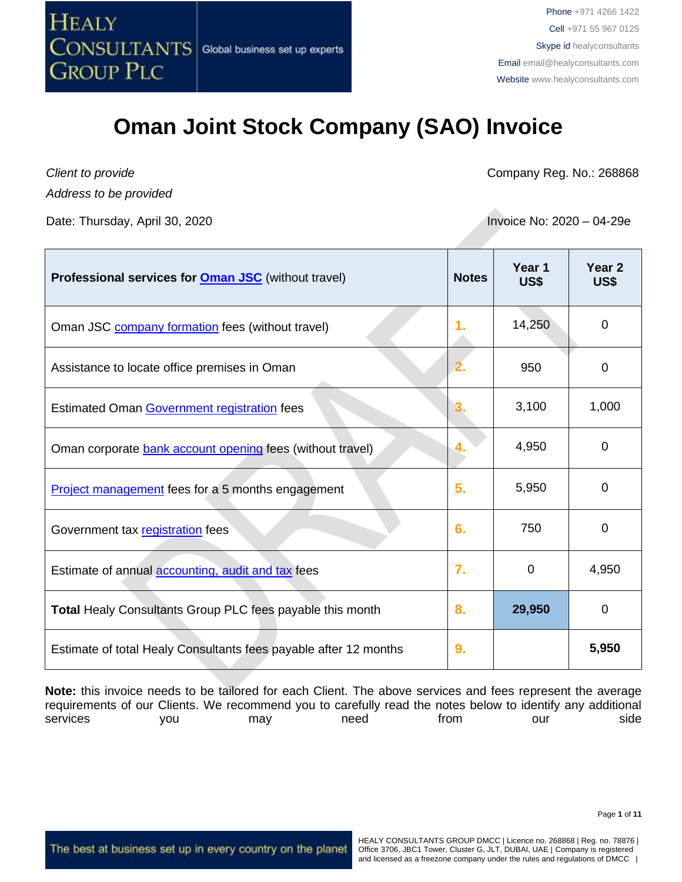

*Client to provide*

*Address to be provided*

Date: Thursday, April 30, 2020 **Invoice No: 2020** – 04-29e

Company Reg. No.: 268868

| <b>Professional services for <b>Oman JSC</b> (without travel)</b> | <b>Notes</b>     | Year 1<br>US\$ | Year <sub>2</sub><br><b>US\$</b> |
|-------------------------------------------------------------------|------------------|----------------|----------------------------------|
| Oman JSC company formation fees (without travel)                  | 1.               | 14,250         | 0                                |
| Assistance to locate office premises in Oman                      |                  | 950            | 0                                |
| Estimated Oman Government registration fees                       | $\bf{3}$         | 3,100          | 1,000                            |
| Oman corporate bank account opening fees (without travel)         | 4.               | 4,950          | $\Omega$                         |
| <b>Project management</b> fees for a 5 months engagement          | 5.               | 5,950          | $\Omega$                         |
| Government tax registration fees                                  | 6.               | 750            | 0                                |
| Estimate of annual accounting, audit and tax fees                 | $\overline{7}$ . | 0              | 4,950                            |
| <b>Total Healy Consultants Group PLC fees payable this month</b>  | 8.               | 29,950         | 0                                |
| Estimate of total Healy Consultants fees payable after 12 months  | 9.               |                | 5,950                            |

**Note:** this invoice needs to be tailored for each Client. The above services and fees represent the average requirements of our Clients. We recommend you to carefully read the notes below to identify any additional services you may need from our side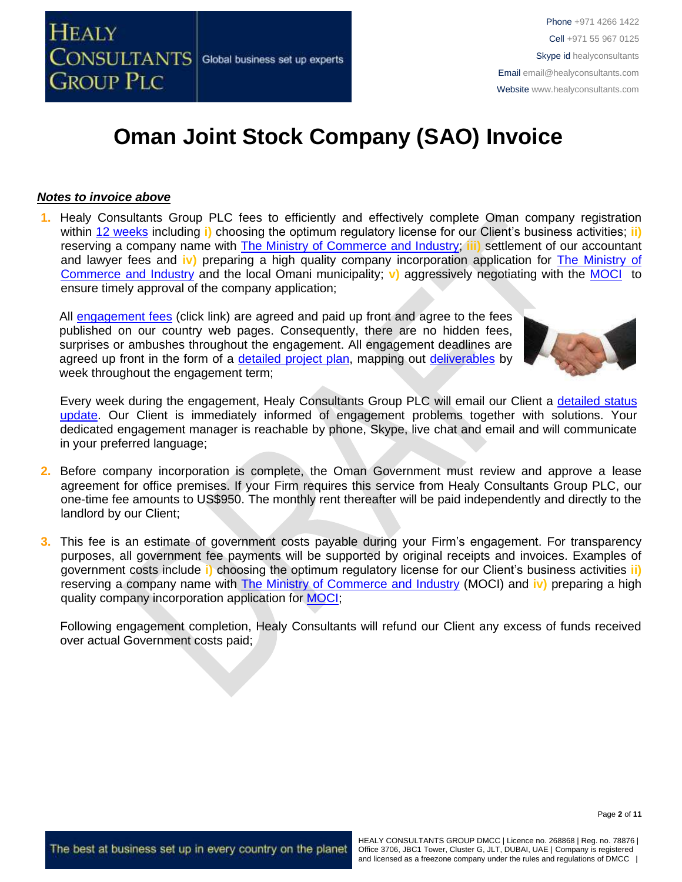#### *Notes to invoice above*

**1.** Healy Consultants Group PLC fees to efficiently and effectively complete Oman company registration within [12 weeks](http://www.healyconsultants.com/oman-company-registration/fees-timelines/#timelines) including **i)** choosing the optimum regulatory license for our Client's business activities; **ii)** reserving a company name with [The Ministry of Commerce](http://www.moci.gov.om/) and Industry; **iii)** settlement of our accountant and lawyer fees and **iv)** preparing a high quality company incorporation application for [The Ministry of](http://www.moci.gov.om/)  Commerce [and Industry](http://www.moci.gov.om/) and the local Omani municipality; **v)** aggressively negotiating with the [MOCI](http://www.moci.gov.om/) to ensure timely approval of the company application;

All [engagement fees](http://www.healyconsultants.com/company-registration-fees/) (click link) are agreed and paid up front and agree to the fees published on our country web pages. Consequently, there are no hidden fees, surprises or ambushes throughout the engagement. All engagement deadlines are agreed up front in the form of a [detailed project plan,](http://www.healyconsultants.com/index-important-links/example-project-plan/) mapping out [deliverables](http://www.healyconsultants.com/deliverables-to-our-clients/) by week throughout the engagement term;



Every week during the engagement, Healy Consultants Group PLC will email our Client a [detailed status](http://www.healyconsultants.com/index-important-links/weekly-engagement-status-email/)  [update.](http://www.healyconsultants.com/index-important-links/weekly-engagement-status-email/) Our Client is immediately informed of engagement problems together with solutions. Your dedicated engagement manager is reachable by phone, Skype, live chat and email and will communicate in your preferred language;

- **2.** Before company incorporation is complete, the Oman Government must review and approve a lease agreement for office premises. If your Firm requires this service from Healy Consultants Group PLC, our one-time fee amounts to US\$950. The monthly rent thereafter will be paid independently and directly to the landlord by our Client;
- **3.** This fee is an estimate of government costs payable during your Firm's engagement. For transparency purposes, all government fee payments will be supported by original receipts and invoices. Examples of government costs include **i)** choosing the optimum regulatory license for our Client's business activities **ii)** reserving a company name with [The Ministry of Commerce](http://www.moci.gov.om/) and Industry (MOCI) and **iv)** preparing a high quality company incorporation application for [MOCI;](http://www.mocioman.gov.om/?lang=en-US)

Following engagement completion, Healy Consultants will refund our Client any excess of funds received over actual Government costs paid;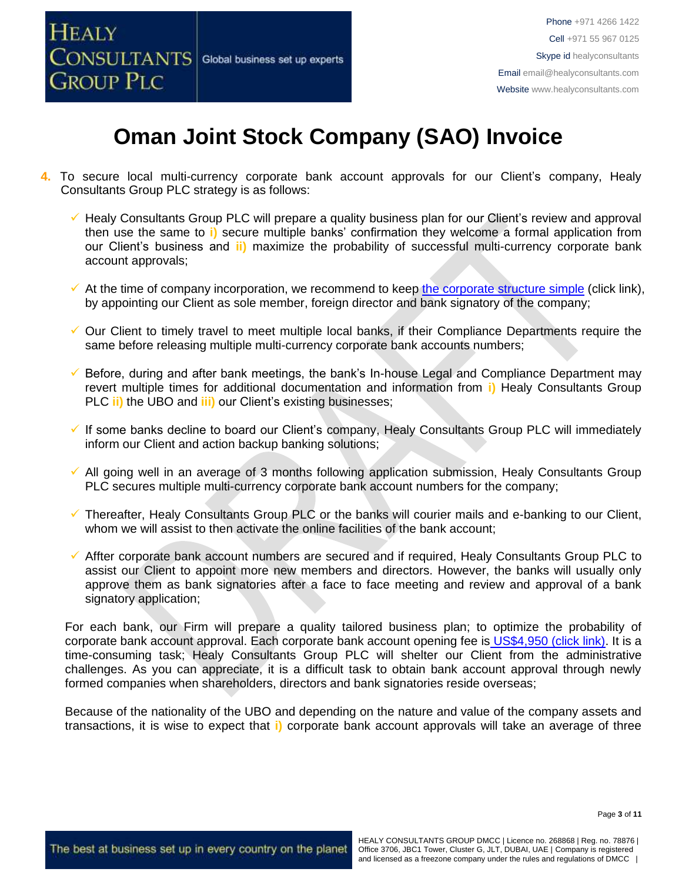

- **4.** To secure local multi-currency corporate bank account approvals for our Client's company, Healy Consultants Group PLC strategy is as follows:
	- Healy Consultants Group PLC will prepare a quality business plan for our Client's review and approval then use the same to **i)** secure multiple banks' confirmation they welcome a formal application from our Client's business and **ii)** maximize the probability of successful multi-currency corporate bank account approvals;
	- $\checkmark$  At the time of company incorporation, we recommend to keep [the corporate structure simple](https://www.healyconsultants.com/about-us/complex-client-engagements/simplify-business-setup/) (click link), by appointing our Client as sole member, foreign director and bank signatory of the company;
	- ✓ Our Client to timely travel to meet multiple local banks, if their Compliance Departments require the same before releasing multiple multi-currency corporate bank accounts numbers;
	- Before, during and after bank meetings, the bank's In-house Legal and Compliance Department may revert multiple times for additional documentation and information from **i)** Healy Consultants Group PLC **ii)** the UBO and **iii)** our Client's existing businesses;
	- ✓ If some banks decline to board our Client's company, Healy Consultants Group PLC will immediately inform our Client and action backup banking solutions;
	- ✓ All going well in an average of 3 months following application submission, Healy Consultants Group PLC secures multiple multi-currency corporate bank account numbers for the company;
	- Thereafter, Healy Consultants Group PLC or the banks will courier mails and e-banking to our Client, whom we will assist to then activate the online facilities of the bank account;
	- ✓ Affter corporate bank account numbers are secured and if required, Healy Consultants Group PLC to assist our Client to appoint more new members and directors. However, the banks will usually only approve them as bank signatories after a face to face meeting and review and approval of a bank signatory application;

For each bank, our Firm will prepare a quality tailored business plan; to optimize the probability of corporate bank account approval. Each corporate bank account opening fee is US\$4,950 [\(click link\).](https://www.healyconsultants.com/global-corporate-banking-for-resident-company/) It is a time-consuming task; Healy Consultants Group PLC will shelter our Client from the administrative challenges. As you can appreciate, it is a difficult task to obtain bank account approval through newly formed companies when shareholders, directors and bank signatories reside overseas;

Because of the nationality of the UBO and depending on the nature and value of the company assets and transactions, it is wise to expect that **i)** corporate bank account approvals will take an average of three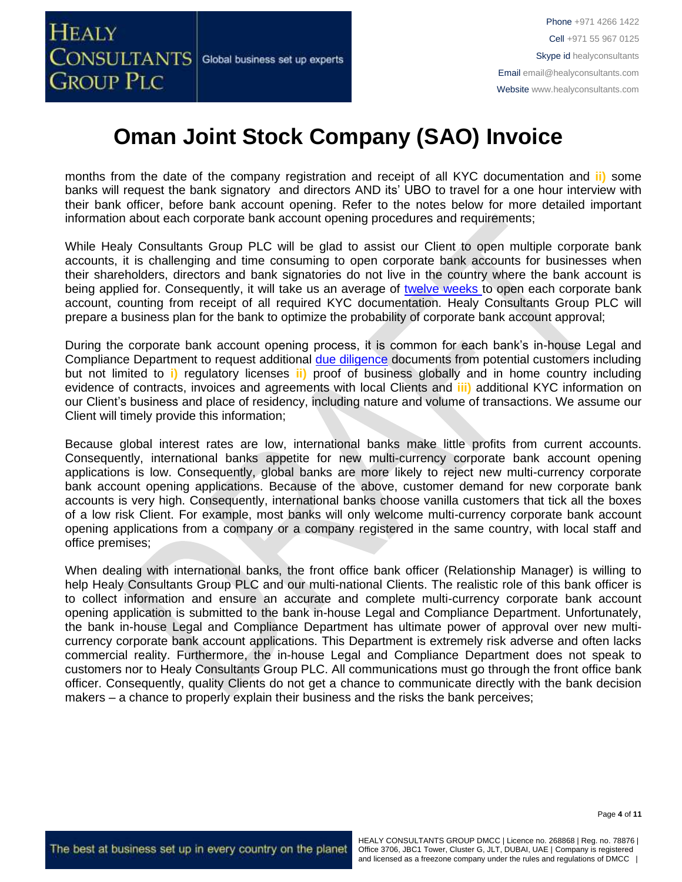

months from the date of the company registration and receipt of all KYC documentation and **ii)** some banks will request the bank signatory and directors AND its' UBO to travel for a one hour interview with their bank officer, before bank account opening. Refer to the notes below for more detailed important information about each corporate bank account opening procedures and requirements;

While Healy Consultants Group PLC will be glad to assist our Client to open multiple corporate bank accounts, it is challenging and time consuming to open corporate bank accounts for businesses when their shareholders, directors and bank signatories do not live in the country where the bank account is being applied for. Consequently, it will take us an average of [twelve weeks](http://www.healyconsultants.com/international-banking/bitcoin-business-bank-account/) to open each corporate bank account, counting from receipt of all required KYC documentation. Healy Consultants Group PLC will prepare a business plan for the bank to optimize the probability of corporate bank account approval;

During the corporate bank account opening process, it is common for each bank's in-house Legal and Compliance Department to request additional [due diligence](http://www.healyconsultants.com/due-diligence/) documents from potential customers including but not limited to **i)** regulatory licenses **ii)** proof of business globally and in home country including evidence of contracts, invoices and agreements with local Clients and **iii)** additional KYC information on our Client's business and place of residency, including nature and volume of transactions. We assume our Client will timely provide this information;

Because global interest rates are low, international banks make little profits from current accounts. Consequently, international banks appetite for new multi-currency corporate bank account opening applications is low. Consequently, global banks are more likely to reject new multi-currency corporate bank account opening applications. Because of the above, customer demand for new corporate bank accounts is very high. Consequently, international banks choose vanilla customers that tick all the boxes of a low risk Client. For example, most banks will only welcome multi-currency corporate bank account opening applications from a company or a company registered in the same country, with local staff and office premises;

When dealing with international banks, the front office bank officer (Relationship Manager) is willing to help Healy Consultants Group PLC and our multi-national Clients. The realistic role of this bank officer is to collect information and ensure an accurate and complete multi-currency corporate bank account opening application is submitted to the bank in-house Legal and Compliance Department. Unfortunately, the bank in-house Legal and Compliance Department has ultimate power of approval over new multicurrency corporate bank account applications. This Department is extremely risk adverse and often lacks commercial reality. Furthermore, the in-house Legal and Compliance Department does not speak to customers nor to Healy Consultants Group PLC. All communications must go through the front office bank officer. Consequently, quality Clients do not get a chance to communicate directly with the bank decision makers – a chance to properly explain their business and the risks the bank perceives;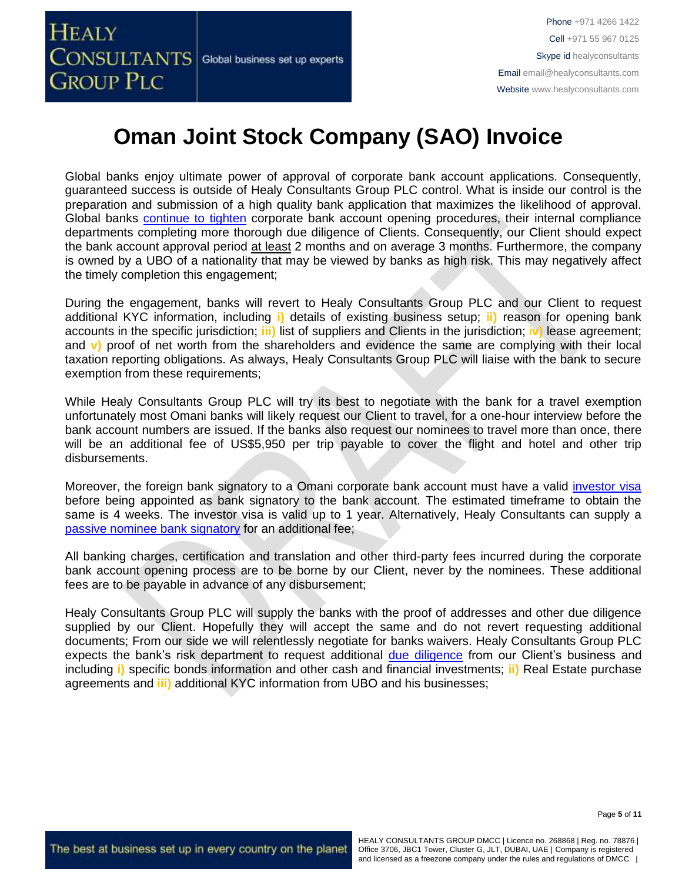

Global banks enjoy ultimate power of approval of corporate bank account applications. Consequently, guaranteed success is outside of Healy Consultants Group PLC control. What is inside our control is the preparation and submission of a high quality bank application that maximizes the likelihood of approval. Global banks [continue to tighten](https://www.healyconsultants.com/international-banking/opening-corporate-bank-accounts/) corporate bank account opening procedures, their internal compliance departments completing more thorough due diligence of Clients. Consequently, our Client should expect the bank account approval period at least 2 months and on average 3 months. Furthermore, the company is owned by a UBO of a nationality that may be viewed by banks as high risk. This may negatively affect the timely completion this engagement;

During the engagement, banks will revert to Healy Consultants Group PLC and our Client to request additional KYC information, including **i)** details of existing business setup; **ii)** reason for opening bank accounts in the specific jurisdiction; **iii)** list of suppliers and Clients in the jurisdiction; i**v)** lease agreement; and **v)** proof of net worth from the shareholders and evidence the same are complying with their local taxation reporting obligations. As always, Healy Consultants Group PLC will liaise with the bank to secure exemption from these requirements;

While Healy Consultants Group PLC will try its best to negotiate with the bank for a travel exemption unfortunately most Omani banks will likely request our Client to travel, for a one-hour interview before the bank account numbers are issued. If the banks also request our nominees to travel more than once, there will be an additional fee of US\$5,950 per trip payable to cover the flight and hotel and other trip disbursements.

Moreover, the foreign bank signatory to a Omani corporate bank account must have a valid [investor visa](https://www.healyconsultants.com/oman-company-registration/formation-support-services/) before being appointed as bank signatory to the bank account. The estimated timeframe to obtain the same is 4 weeks. The investor visa is valid up to 1 year. Alternatively, Healy Consultants can supply a [passive nominee bank signatory](http://www.healyconsultants.com/corporate-banking-services/nominee-bank-signatory/) for an additional fee:

All banking charges, certification and translation and other third-party fees incurred during the corporate bank account opening process are to be borne by our Client, never by the nominees. These additional fees are to be payable in advance of any disbursement;

Healy Consultants Group PLC will supply the banks with the proof of addresses and other due diligence supplied by our Client. Hopefully they will accept the same and do not revert requesting additional documents; From our side we will relentlessly negotiate for banks waivers. Healy Consultants Group PLC expects the bank's risk department to request additional [due diligence](http://www.healyconsultants.com/due-diligence/) from our Client's business and including **i)** specific bonds information and other cash and financial investments; **ii)** Real Estate purchase agreements and **iii)** additional KYC information from UBO and his businesses;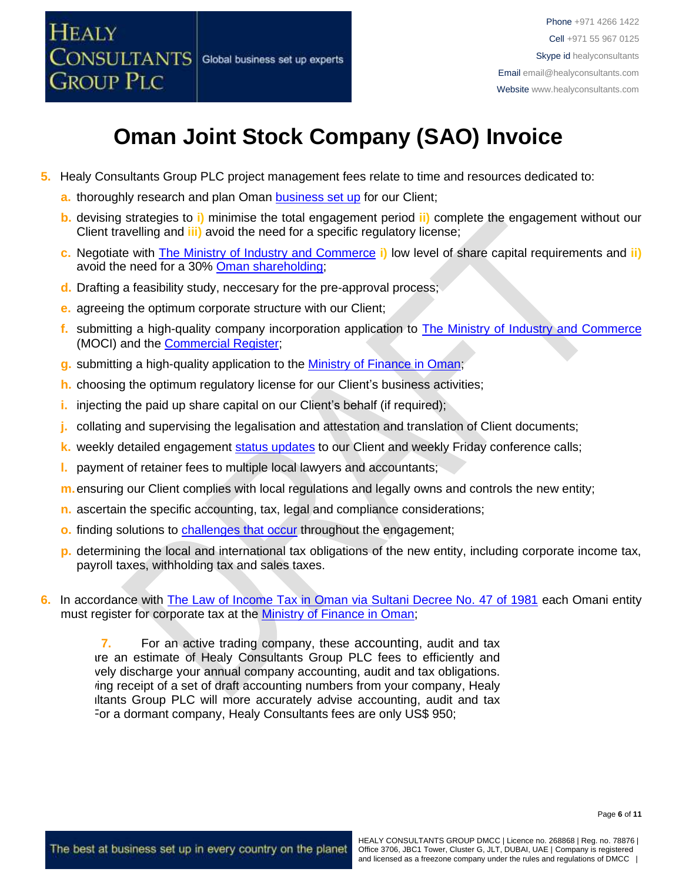

- **5.** Healy Consultants Group PLC project management fees relate to time and resources dedicated to:
	- **a.** thoroughly research and plan Oman [business set up](http://www.healyconsultants.com/oman-company-registration/) for our Client;
	- **b.** devising strategies to **i)** minimise the total engagement period **ii)** complete the engagement without our Client travelling and **iii)** avoid the need for a specific regulatory license;
	- **c.** Negotiate with [The Ministry of Industry and Commerce](http://www.mocioman.gov.om/?lang=en-US) **i)** low level of share capital requirements and **ii)** avoid the need for a 30% [Oman shareholding;](http://www.healyconsultants.com/national-shareholder-services/)
	- **d.** Drafting a feasibility study, neccesary for the pre-approval process;
	- **e.** agreeing the optimum corporate structure with our Client;
	- **f.** submitting a high-quality company incorporation application to [The Ministry of Industry and Commerce](http://www.mocioman.gov.om/?lang=en-US) (MOCI) and the **Commercial Register**;
	- **g.** submitting a high-quality application to the [Ministry of Finance in Oman;](http://www.taxoman.gov.om/company_tax.html#main-page)
	- **h.** choosing the optimum regulatory license for our Client's business activities;
	- **i.** injecting the paid up share capital on our Client's behalf (if required);
	- **j.** collating and supervising the legalisation and attestation and translation of Client documents;
	- **k.** weekly detailed engagement [status updates](http://www.healyconsultants.com/index-important-links/weekly-engagement-status-email/) to our Client and weekly Friday conference calls;
	- **l.** payment of retainer fees to multiple local lawyers and accountants;
	- **m.**ensuring our Client complies with local regulations and legally owns and controls the new entity;
	- **n.** ascertain the specific accounting, tax, legal and compliance considerations;
	- **o.** finding solutions to [challenges that occur](http://www.healyconsultants.com/engagement-project-management/) throughout the engagement;
	- **p.** determining the local and international tax obligations of the new entity, including corporate income tax, payroll taxes, withholding tax and sales taxes.
- **6.** In accordance with [The Law of Income Tax in Oman via Sultani Decree No. 47 of 1981](http://www.taxoman.gov.om/companies%20law%20in%20English.pdf) each Omani entity must register for corporate tax at the [Ministry of Finance in Oman;](http://www.taxoman.gov.om/company_tax.html#main-page)

**7.** For an active trading company, these [accounting](http://www.healyconsultants.com/oman-company-registration/accounting-legal/), audit and tax are an estimate of Healy Consultants Group PLC fees to efficiently and vely discharge your annual company accounting, audit and tax obligations. ing receipt of a set of draft accounting numbers from your company, Healy Iltants Group PLC will more accurately advise accounting, audit and tax For a dormant company, Healy Consultants fees are only US\$ 950;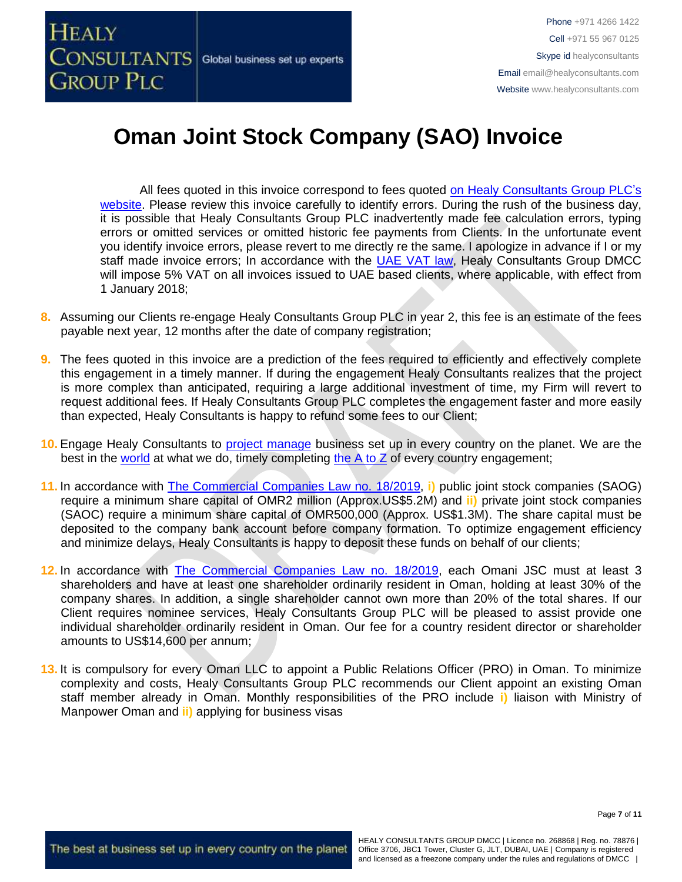

All fees quoted in this invoice correspond to fees quoted [on Healy Consultants Group PLC's](http://www.healyconsultants.com/company-registration-fees/) [website.](http://www.healyconsultants.com/company-registration-fees/) Please review this invoice carefully to identify errors. During the rush of the business day, it is possible that Healy Consultants Group PLC inadvertently made fee calculation errors, typing errors or omitted services or omitted historic fee payments from Clients. In the unfortunate event you identify invoice errors, please revert to me directly re the same. I apologize in advance if I or my staff made invoice errors; In accordance with the [UAE VAT law,](https://www.tax.gov.ae/legislation.aspx) Healy Consultants Group DMCC will impose 5% VAT on all invoices issued to UAE based clients, where applicable, with effect from 1 January 2018;

- **8.** Assuming our Clients re-engage Healy Consultants Group PLC in year 2, this fee is an estimate of the fees payable next year, 12 months after the date of company registration;
- **9.** The fees quoted in this invoice are a prediction of the fees required to efficiently and effectively complete this engagement in a timely manner. If during the engagement Healy Consultants realizes that the project is more complex than anticipated, requiring a large additional investment of time, my Firm will revert to request additional fees. If Healy Consultants Group PLC completes the engagement faster and more easily than expected, Healy Consultants is happy to refund some fees to our Client;
- **10.** Engage Healy Consultants to [project manage](http://www.healyconsultants.com/project-manage-engagements/) business set up in every country on the planet. We are the best in the [world](http://www.healyconsultants.com/best-in-the-world/) at what we do, timely completing the  $A$  to  $Z$  of every country engagement;
- **11.** In accordance with [The Commercial Companies Law no.](http://images.mofcom.gov.cn/om/table/gsf.pdf) 18/2019, **i)** public joint stock companies (SAOG) require a minimum share capital of OMR2 million (Approx.US\$5.2M) and **ii)** private joint stock companies (SAOC) require a minimum share capital of OMR500,000 (Approx. US\$1.3M). The share capital must be deposited to the company bank account before company formation. To optimize engagement efficiency and minimize delays, Healy Consultants is happy to deposit these funds on behalf of our clients;
- **12.** In accordance with [The Commercial Companies Law no.](http://images.mofcom.gov.cn/om/table/gsf.pdf) 18/2019, each Omani JSC must at least 3 shareholders and have at least one shareholder ordinarily resident in Oman, holding at least 30% of the company shares. In addition, a single shareholder cannot own more than 20% of the total shares. If our Client requires nominee services, Healy Consultants Group PLC will be pleased to assist provide one individual shareholder ordinarily resident in Oman. Our fee for a country resident director or shareholder amounts to US\$14,600 per annum;
- **13.** It is compulsory for every Oman LLC to appoint a Public Relations Officer (PRO) in Oman. To minimize complexity and costs, Healy Consultants Group PLC recommends our Client appoint an existing Oman staff member already in Oman. Monthly responsibilities of the PRO include **i)** liaison with Ministry of Manpower Oman and **ii)** applying for business visas

Page **7** of **11**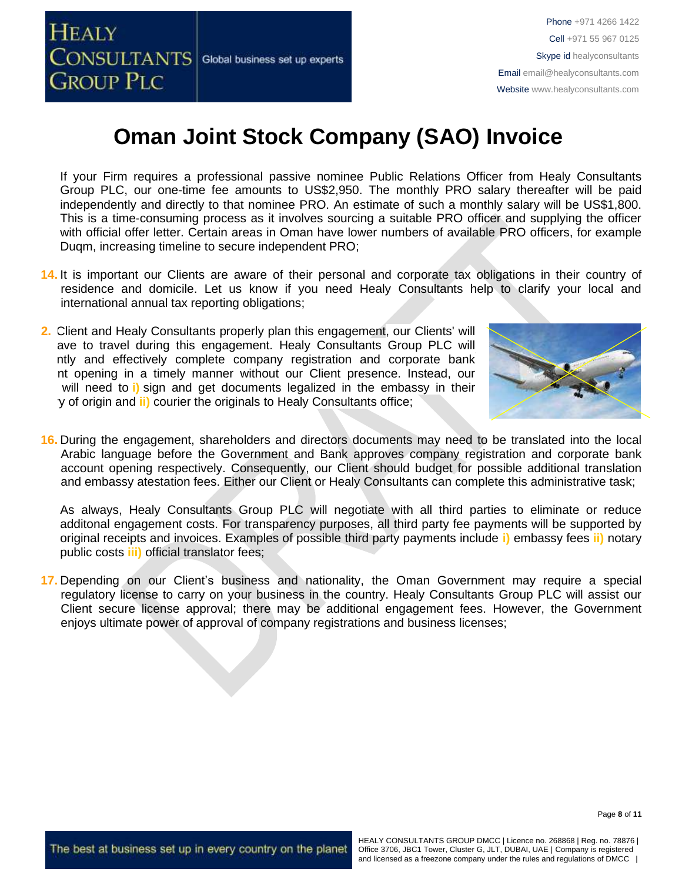

If your Firm requires a professional passive nominee Public Relations Officer from Healy Consultants Group PLC, our one-time fee amounts to US\$2,950. The monthly PRO salary thereafter will be paid independently and directly to that nominee PRO. An estimate of such a monthly salary will be US\$1,800. This is a time-consuming process as it involves sourcing a suitable PRO officer and supplying the officer with official offer letter. Certain areas in Oman have lower numbers of available PRO officers, for example Duqm, increasing timeline to secure independent PRO;

- **14.** It is important our Clients are aware of their personal and corporate tax obligations in their country of residence and domicile. Let us know if you need Healy Consultants help to clarify your local and international annual tax reporting obligations;
- **2.** Client and Healy Consultants properly plan this engagement, our Clients' will *not* have to travel during this engagement. Healy Consultants Group PLC will ntly and effectively complete company registration and corporate bank nt opening in a timely manner without our Client presence. Instead, our will need to **i**) sign and get documents legalized in the embassy in their y of origin and *ii*) courier the originals to Healy Consultants office;



**16.** During the engagement, shareholders and directors documents may need to be translated into the local Arabic language before the Government and Bank approves company registration and corporate bank account opening respectively. Consequently, our Client should budget for possible additional translation and embassy atestation fees. Either our Client or Healy Consultants can complete this administrative task;

As always, Healy Consultants Group PLC will negotiate with all third parties to eliminate or reduce additonal engagement costs. For transparency purposes, all third party fee payments will be supported by original receipts and invoices. Examples of possible third party payments include **i)** embassy fees **ii)** notary public costs **iii)** official translator fees;

**17.** Depending on our Client's business and nationality, the Oman Government may require a special regulatory license to carry on your business in the country. Healy Consultants Group PLC will assist our Client secure license approval; there may be additional engagement fees. However, the Government enjoys ultimate power of approval of company registrations and business licenses;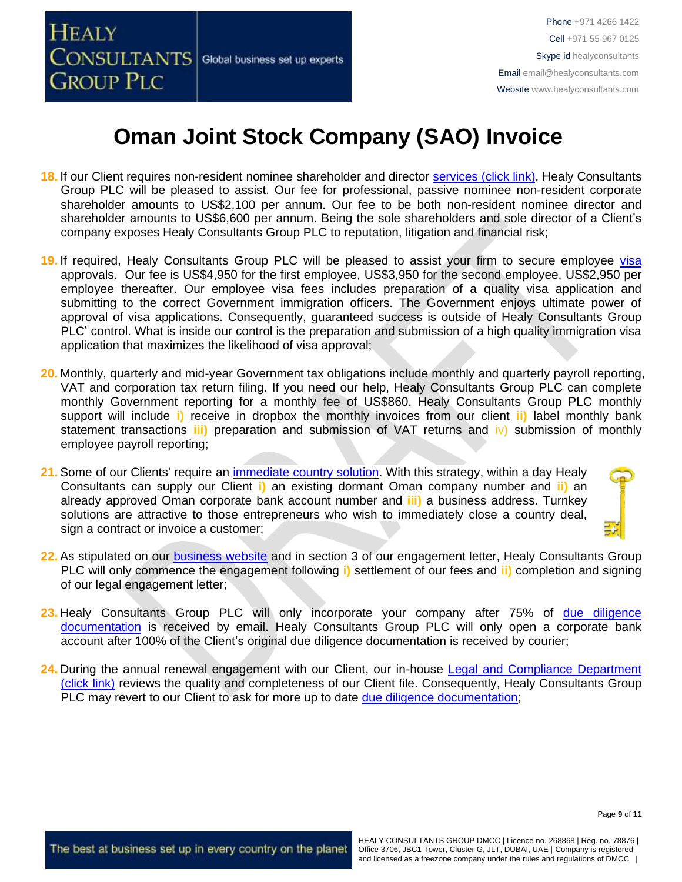

- **18.** If our Client requires non-resident nominee shareholder and director services [\(click link\),](http://www.healyconsultants.com/corporate-outsourcing-services/nominee-shareholders-directors/) Healy Consultants Group PLC will be pleased to assist. Our fee for professional, passive nominee non-resident corporate shareholder amounts to US\$2,100 per annum. Our fee to be both non-resident nominee director and shareholder amounts to US\$6,600 per annum. Being the sole shareholders and sole director of a Client's company exposes Healy Consultants Group PLC to reputation, litigation and financial risk;
- **19.** If required, Healy Consultants Group PLC will be pleased to assist your firm to secure employee [visa](http://www.healyconsultants.com/oman-company-registration/formation-support-services/) approvals. Our fee is US\$4,950 for the first employee, US\$3,950 for the second employee, US\$2,950 per employee thereafter. Our employee visa fees includes preparation of a quality visa application and submitting to the correct Government immigration officers. The Government enjoys ultimate power of approval of visa applications. Consequently, guaranteed success is outside of Healy Consultants Group PLC' control. What is inside our control is the preparation and submission of a high quality immigration visa application that maximizes the likelihood of visa approval;
- **20.** Monthly, quarterly and mid-year Government tax obligations include monthly and quarterly payroll reporting, VAT and corporation tax return filing. If you need our help, Healy Consultants Group PLC can complete monthly Government reporting for a monthly fee of US\$860. Healy Consultants Group PLC monthly support will include **i)** receive in dropbox the monthly invoices from our client **ii)** label monthly bank statement transactions **iii)** preparation and submission of VAT returns and iv) submission of monthly employee payroll reporting;
- 21. Some of our Clients' require an [immediate country solution.](http://www.healyconsultants.com/turnkey-solutions/) With this strategy, within a day Healy Consultants can supply our Client **i)** an existing dormant Oman company number and **ii)** an already approved Oman corporate bank account number and **iii)** a business address. Turnkey solutions are attractive to those entrepreneurs who wish to immediately close a country deal, sign a contract or invoice a customer:
- 
- **22.** As stipulated on our [business website](http://www.healyconsultants.com/) and in section 3 of our engagement letter, Healy Consultants Group PLC will only commence the engagement following **i)** settlement of our fees and **ii)** completion and signing of our legal engagement letter;
- **23.** Healy Consultants Group PLC will only incorporate your company after 75% of [due diligence](http://www.healyconsultants.com/due-diligence/)  [documentation](http://www.healyconsultants.com/due-diligence/) is received by email. Healy Consultants Group PLC will only open a corporate bank account after 100% of the Client's original due diligence documentation is received by courier;
- **24.** During the annual renewal engagement with our Client, our in-house [Legal and Compliance Department](http://www.healyconsultants.com/about-us/key-personnel/cai-xin-profile/)  [\(click](http://www.healyconsultants.com/about-us/key-personnel/cai-xin-profile/) link) reviews the quality and completeness of our Client file. Consequently, Healy Consultants Group PLC may revert to our Client to ask for more up to date [due diligence documentation;](http://www.healyconsultants.com/due-diligence/)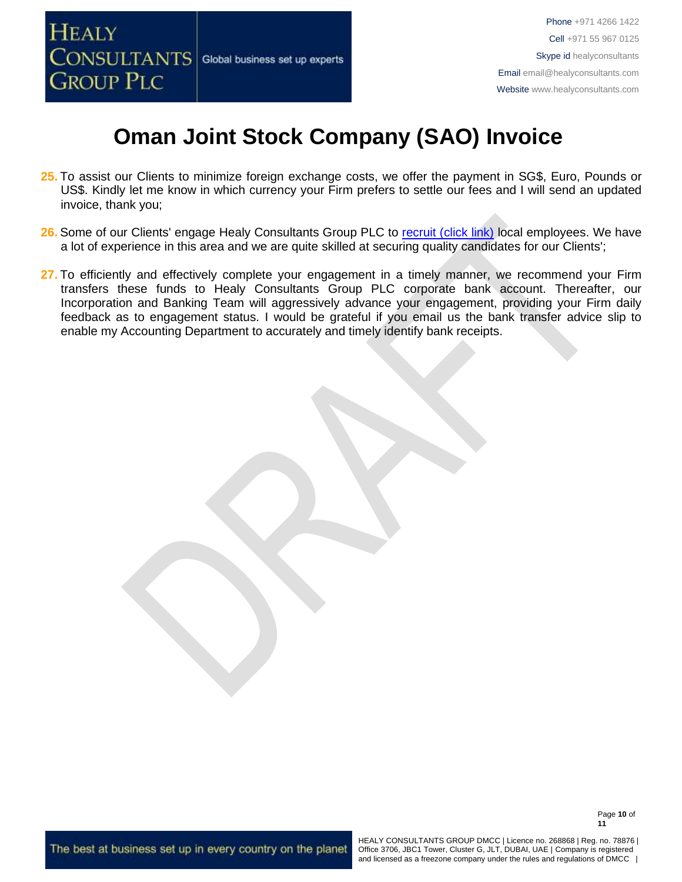

- **25.** To assist our Clients to minimize foreign exchange costs, we offer the payment in SG\$, Euro, Pounds or US\$. Kindly let me know in which currency your Firm prefers to settle our fees and I will send an updated invoice, thank you;
- 26. Some of our Clients' engage Healy Consultants Group PLC to [recruit \(click link\)](http://www.healyconsultants.com/corporate-outsourcing-services/how-we-help-our-clients-recruit-quality-employees/) local employees. We have a lot of experience in this area and we are quite skilled at securing quality candidates for our Clients';
- 27. To efficiently and effectively complete your engagement in a timely manner, we recommend your Firm transfers these funds to Healy Consultants Group PLC corporate bank account. Thereafter, our Incorporation and Banking Team will aggressively advance your engagement, providing your Firm daily feedback as to engagement status. I would be grateful if you email us the bank transfer advice slip to enable my Accounting Department to accurately and timely identify bank receipts.

The best at business set up in every country on the planet